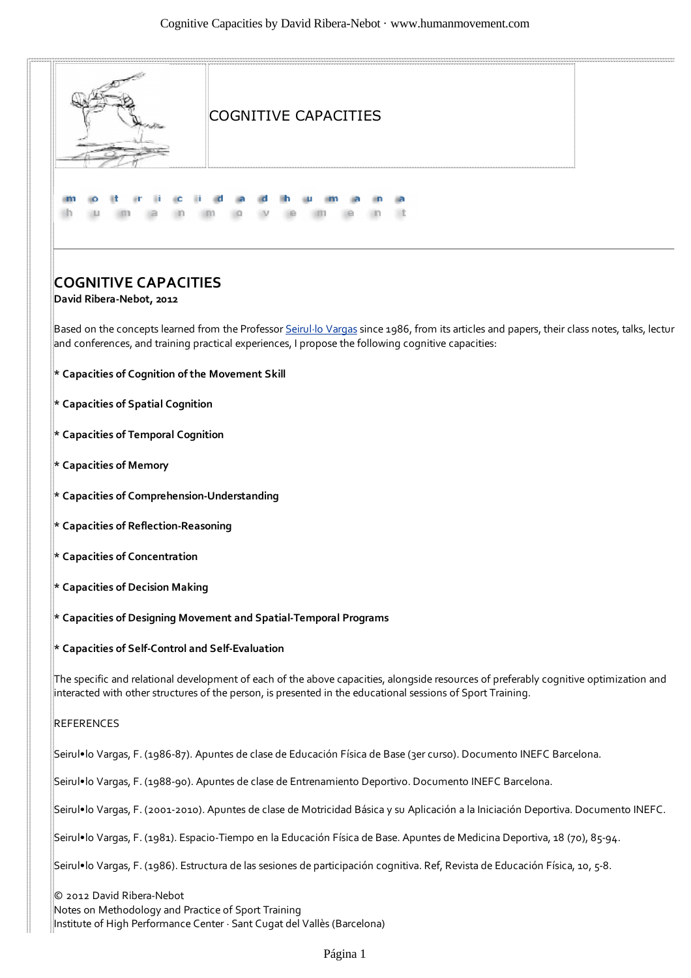

Página 1